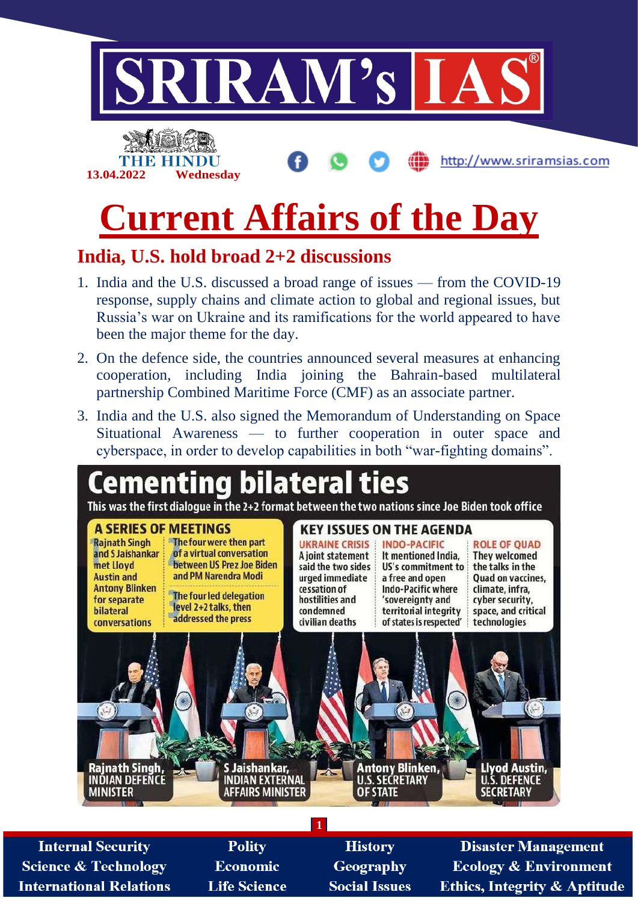

# **Current Affairs of the Day**

### **India, U.S. hold broad 2+2 discussions**

- 1. India and the U.S. discussed a broad range of issues from the COVID-19 response, supply chains and climate action to global and regional issues, but Russia's war on Ukraine and its ramifications for the world appeared to have been the major theme for the day.
- 2. On the defence side, the countries announced several measures at enhancing cooperation, including India joining the Bahrain-based multilateral partnership Combined Maritime Force (CMF) as an associate partner.
- 3. India and the U.S. also signed the Memorandum of Understanding on Space Situational Awareness — to further cooperation in outer space and cyberspace, in order to develop capabilities in both "war-fighting domains".



**1**

**Internal Security Science & Technology International Relations** 

**Polity Economic Life Science** 

**History** Geography **Social Issues** 

**Disaster Management Ecology & Environment Ethics, Integrity & Aptitude**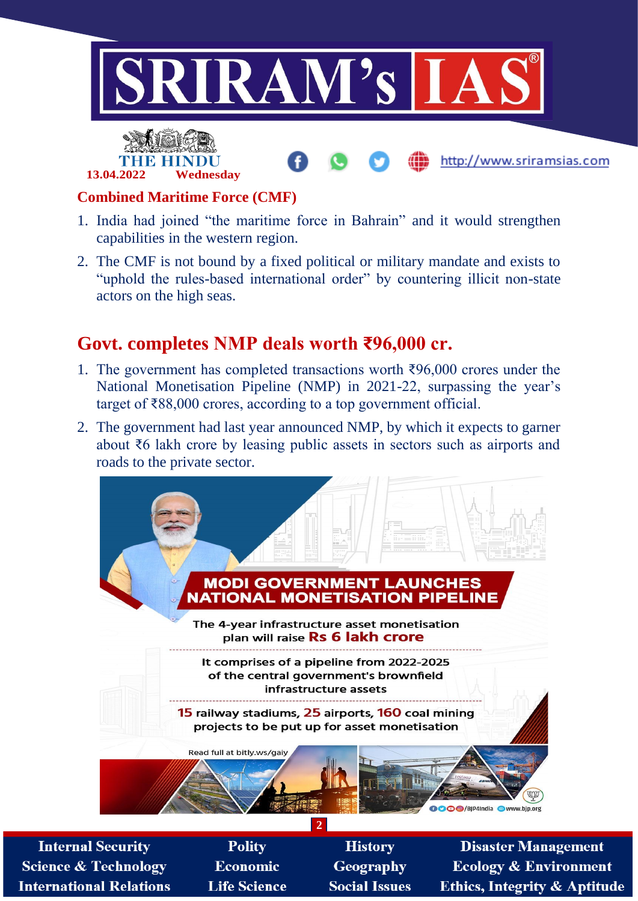



#### **Combined Maritime Force (CMF)**

- 1. India had joined "the maritime force in Bahrain" and it would strengthen capabilities in the western region.
- 2. The CMF is not bound by a fixed political or military mandate and exists to "uphold the rules-based international order" by countering illicit non-state actors on the high seas.

#### **Govt. completes NMP deals worth ₹96,000 cr.**

- 1. The government has completed transactions worth ₹96,000 crores under the National Monetisation Pipeline (NMP) in 2021-22, surpassing the year's target of ₹88,000 crores, according to a top government official.
- 2. The government had last year announced NMP, by which it expects to garner about ₹6 lakh crore by leasing public assets in sectors such as airports and roads to the private sector.



**Internal Security Science & Technology International Relations** 

**Polity Economic Life Science** 

**History Geography Social Issues** 

**Disaster Management Ecology & Environment Ethics, Integrity & Aptitude** 

http://www.sriramsias.com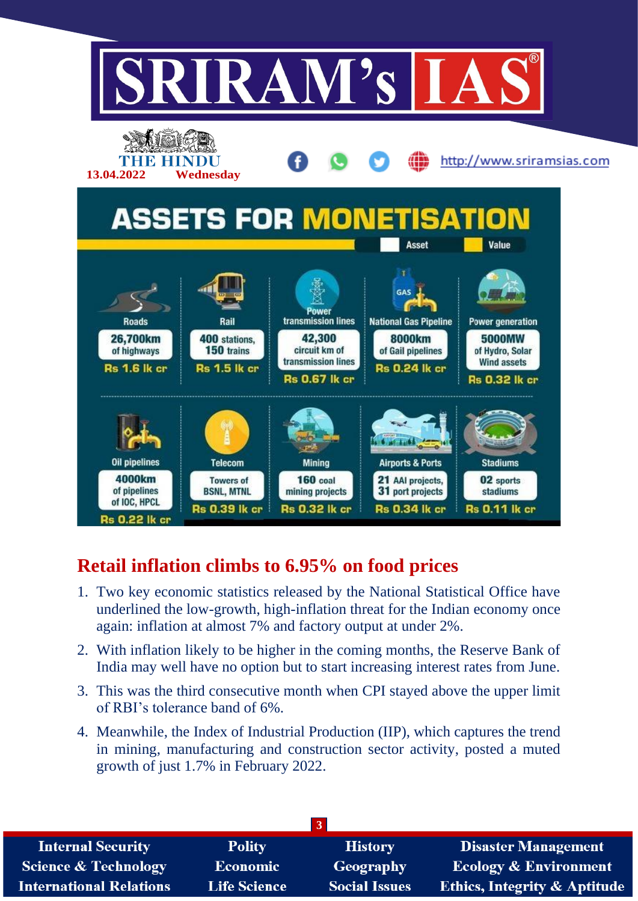

## **Retail inflation climbs to 6.95% on food prices**

- 1. Two key economic statistics released by the National Statistical Office have underlined the low-growth, high-inflation threat for the Indian economy once again: inflation at almost 7% and factory output at under 2%.
- 2. With inflation likely to be higher in the coming months, the Reserve Bank of India may well have no option but to start increasing interest rates from June.
- 3. This was the third consecutive month when CPI stayed above the upper limit of RBI's tolerance band of 6%.
- 4. Meanwhile, the Index of Industrial Production (IIP), which captures the trend in mining, manufacturing and construction sector activity, posted a muted growth of just 1.7% in February 2022.

| <b>Internal Security</b>        | <b>Polity</b>       | <b>History</b>       | <b>Disaster Management</b>              |  |  |  |
|---------------------------------|---------------------|----------------------|-----------------------------------------|--|--|--|
| <b>Science &amp; Technology</b> | <b>Economic</b>     | Geography            | <b>Ecology &amp; Environment</b>        |  |  |  |
| <b>International Relations</b>  | <b>Life Science</b> | <b>Social Issues</b> | <b>Ethics, Integrity &amp; Aptitude</b> |  |  |  |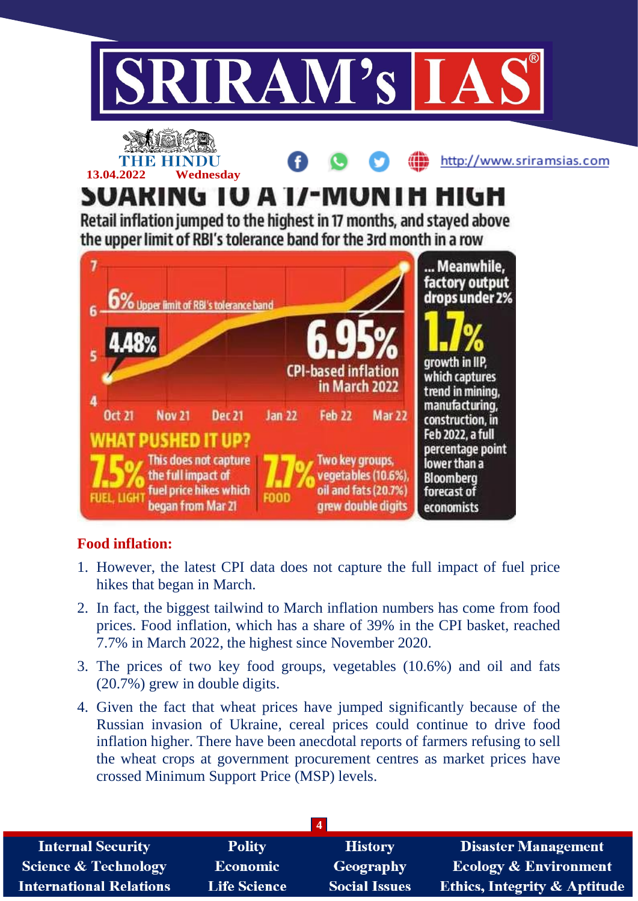



**13.04.2022 Wednesday**

http://www.sriramsias.com

# SUARING TU A 1/-MUNTH HIGH

Retail inflation jumped to the highest in 17 months, and stayed above the upper limit of RBI's tolerance band for the 3rd month in a row



#### **Food inflation:**

- 1. However, the latest CPI data does not capture the full impact of fuel price hikes that began in March.
- 2. In fact, the biggest tailwind to March inflation numbers has come from food prices. Food inflation, which has a share of 39% in the CPI basket, reached 7.7% in March 2022, the highest since November 2020.
- 3. The prices of two key food groups, vegetables (10.6%) and oil and fats (20.7%) grew in double digits.
- 4. Given the fact that wheat prices have jumped significantly because of the Russian invasion of Ukraine, cereal prices could continue to drive food inflation higher. There have been anecdotal reports of farmers refusing to sell the wheat crops at government procurement centres as market prices have crossed Minimum Support Price (MSP) levels.

| <b>Internal Security</b>        | <b>Polity</b>       | <b>History</b>       | <b>Disaster Management</b>              |
|---------------------------------|---------------------|----------------------|-----------------------------------------|
| <b>Science &amp; Technology</b> | <b>Economic</b>     | <b>Geography</b>     | <b>Ecology &amp; Environment</b>        |
| <b>International Relations</b>  | <b>Life Science</b> | <b>Social Issues</b> | <b>Ethics, Integrity &amp; Aptitude</b> |